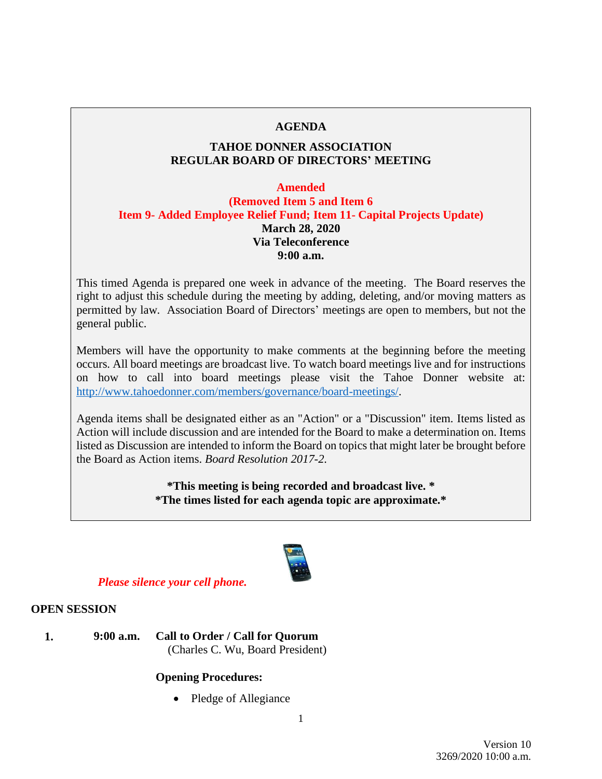## **AGENDA**

## **TAHOE DONNER ASSOCIATION REGULAR BOARD OF DIRECTORS' MEETING**

### **Amended**

**(Removed Item 5 and Item 6 Item 9- Added Employee Relief Fund; Item 11- Capital Projects Update) March 28, 2020 Via Teleconference 9:00 a.m.**

This timed Agenda is prepared one week in advance of the meeting. The Board reserves the right to adjust this schedule during the meeting by adding, deleting, and/or moving matters as permitted by law. Association Board of Directors' meetings are open to members, but not the general public.

Members will have the opportunity to make comments at the beginning before the meeting occurs. All board meetings are broadcast live. To watch board meetings live and for instructions on how to call into board meetings please visit the Tahoe Donner website at: [http://www.tahoedonner.com/members/governance/board-meetings/.](http://www.tahoedonner.com/members/governance/board-meetings/)

Agenda items shall be designated either as an "Action" or a "Discussion" item. Items listed as Action will include discussion and are intended for the Board to make a determination on. Items listed as Discussion are intended to inform the Board on topics that might later be brought before the Board as Action items. *Board Resolution 2017-2.*

> **\*This meeting is being recorded and broadcast live. \* \*The times listed for each agenda topic are approximate.\***



### *Please silence your cell phone.*

## **OPEN SESSION**

**1. 9:00 a.m. Call to Order / Call for Quorum** (Charles C. Wu, Board President)

### **Opening Procedures:**

• Pledge of Allegiance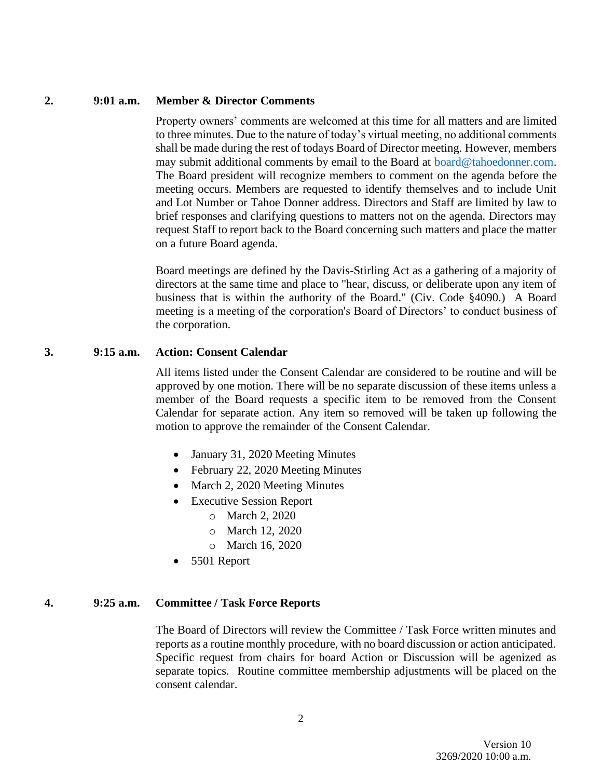#### **2. 9:01 a.m. Member & Director Comments**

Property owners' comments are welcomed at this time for all matters and are limited to three minutes. Due to the nature of today's virtual meeting, no additional comments shall be made during the rest of todays Board of Director meeting. However, members may submit additional comments by email to the Board at **board@tahoedonner.com**. The Board president will recognize members to comment on the agenda before the meeting occurs. Members are requested to identify themselves and to include Unit and Lot Number or Tahoe Donner address. Directors and Staff are limited by law to brief responses and clarifying questions to matters not on the agenda. Directors may request Staff to report back to the Board concerning such matters and place the matter on a future Board agenda.

Board meetings are defined by the Davis-Stirling Act as a gathering of a majority of directors at the same time and place to "hear, discuss, or deliberate upon any item of business that is within the authority of the Board." (Civ. Code §4090.) A Board meeting is a meeting of the corporation's Board of Directors' to conduct business of the corporation.

### **3. 9:15 a.m. Action: Consent Calendar**

All items listed under the Consent Calendar are considered to be routine and will be approved by one motion. There will be no separate discussion of these items unless a member of the Board requests a specific item to be removed from the Consent Calendar for separate action. Any item so removed will be taken up following the motion to approve the remainder of the Consent Calendar.

- January 31, 2020 Meeting Minutes
- February 22, 2020 Meeting Minutes
- March 2, 2020 Meeting Minutes
- Executive Session Report
	- o March 2, 2020
	- o March 12, 2020
	- o March 16, 2020
- 5501 Report

### **4. 9:25 a.m. Committee / Task Force Reports**

The Board of Directors will review the Committee / Task Force written minutes and reports as a routine monthly procedure, with no board discussion or action anticipated. Specific request from chairs for board Action or Discussion will be agenized as separate topics. Routine committee membership adjustments will be placed on the consent calendar.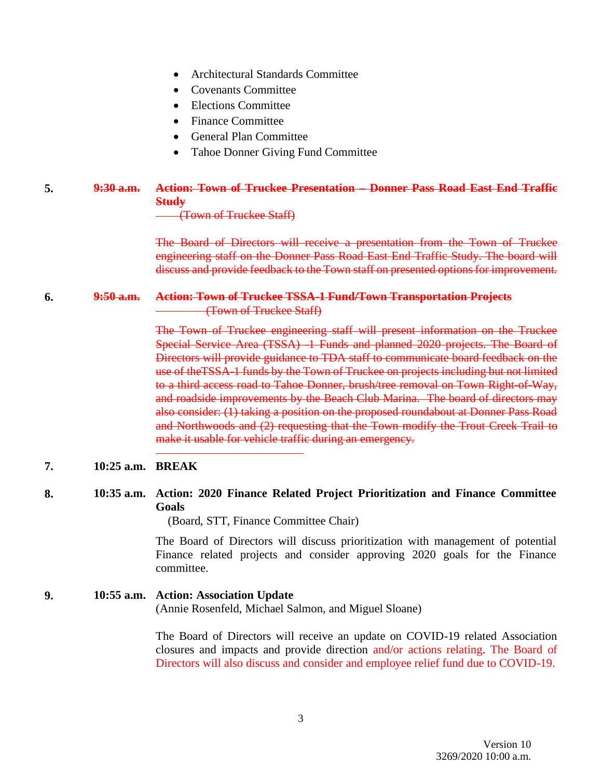- Architectural Standards Committee
- Covenants Committee
- Elections Committee
- Finance Committee
- General Plan Committee
- Tahoe Donner Giving Fund Committee

# **5. 9:30 a.m. Action: Town of Truckee Presentation – Donner Pass Road East End Traffic Study**

(Town of Truckee Staff)

The Board of Directors will receive a presentation from the Town of Truckee engineering staff on the Donner Pass Road East End Traffic Study. The board will discuss and provide feedback to the Town staff on presented options for improvement.

### **6. 9:50 a.m. Action: Town of Truckee TSSA-1 Fund/Town Transportation Projects** (Town of Truckee Staff)

The Town of Truckee engineering staff will present information on the Truckee Special Service Area (TSSA) -1 Funds and planned 2020 projects. The Board of Directors will provide guidance to TDA staff to communicate board feedback on the use of theTSSA-1 funds by the Town of Truckee on projects including but not limited to a third access road to Tahoe Donner, brush/tree removal on Town Right-of-Way, and roadside improvements by the Beach Club Marina. The board of directors may also consider: (1) taking a position on the proposed roundabout at Donner Pass Road and Northwoods and (2) requesting that the Town modify the Trout Creek Trail to make it usable for vehicle traffic during an emergency.

## **7. 10:25 a.m. BREAK**

# **8. 10:35 a.m. Action: 2020 Finance Related Project Prioritization and Finance Committee Goals**

(Board, STT, Finance Committee Chair)

The Board of Directors will discuss prioritization with management of potential Finance related projects and consider approving 2020 goals for the Finance committee.

# **9. 10:55 a.m. Action: Association Update** (Annie Rosenfeld, Michael Salmon, and Miguel Sloane)

The Board of Directors will receive an update on COVID-19 related Association closures and impacts and provide direction and/or actions relating. The Board of Directors will also discuss and consider and employee relief fund due to COVID-19.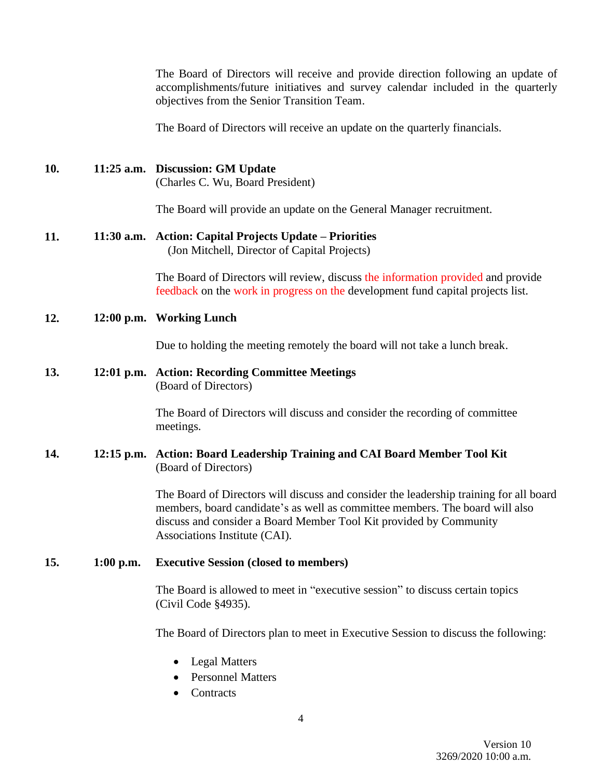The Board of Directors will receive and provide direction following an update of accomplishments/future initiatives and survey calendar included in the quarterly objectives from the Senior Transition Team.

The Board of Directors will receive an update on the quarterly financials.

**10. 11:25 a.m. Discussion: GM Update** (Charles C. Wu, Board President)

The Board will provide an update on the General Manager recruitment.

#### **11. 11:30 a.m. Action: Capital Projects Update – Priorities**  (Jon Mitchell, Director of Capital Projects)

The Board of Directors will review, discuss the information provided and provide feedback on the work in progress on the development fund capital projects list.

## **12. 12:00 p.m. Working Lunch**

Due to holding the meeting remotely the board will not take a lunch break.

### **13. 12:01 p.m. Action: Recording Committee Meetings**  (Board of Directors)

The Board of Directors will discuss and consider the recording of committee meetings.

## **14. 12:15 p.m. Action: Board Leadership Training and CAI Board Member Tool Kit** (Board of Directors)

The Board of Directors will discuss and consider the leadership training for all board members, board candidate's as well as committee members. The board will also discuss and consider a Board Member Tool Kit provided by Community Associations Institute (CAI).

## **15. 1:00 p.m. Executive Session (closed to members)**

The Board is allowed to meet in "executive session" to discuss certain topics (Civil Code §4935).

The Board of Directors plan to meet in Executive Session to discuss the following:

- Legal Matters
- Personnel Matters
- Contracts